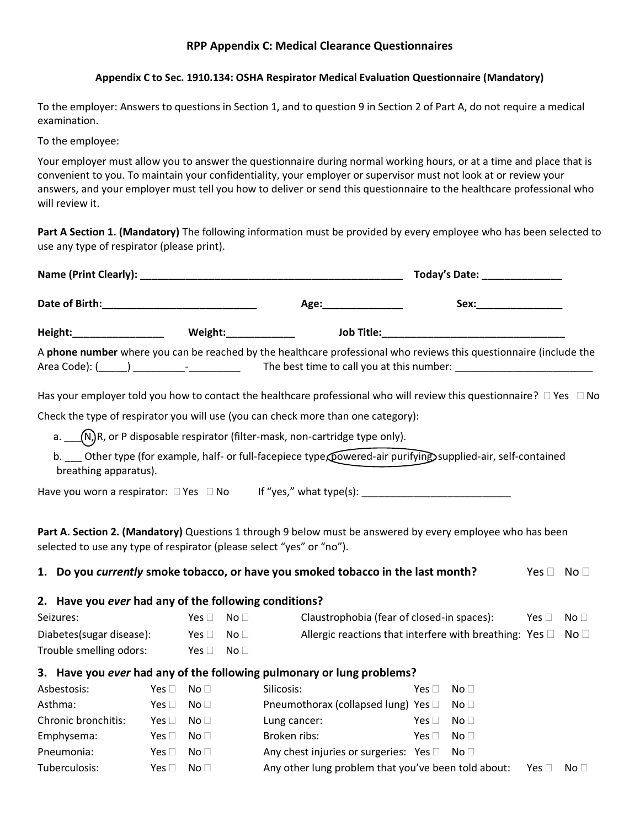### **RPP Appendix C: Medical Clearance Questionnaires**

#### **[Appendix C to Sec. 1910.134:](http://www.osha.gov/pls/oshaweb/owadisp.show_document?p_table=STANDARDS&p_id=9783) OSHA Respirator Medical Evaluation Questionnaire (Mandatory)**

To the employer: Answers to questions in Section 1, and to question 9 in Section 2 of Part A, do not require a medical examination.

To the employee:

Your employer must allow you to answer the questionnaire during normal working hours, or at a time and place that is convenient to you. To maintain your confidentiality, your employer or supervisor must not look at or review your answers, and your employer must tell you how to deliver or send this questionnaire to the healthcare professional who will review it.

**Part A Section 1. (Mandatory)** The following information must be provided by every employee who has been selected to use any type of respirator (please print).

|                                                       |               |                                  | Today's Date: ________________                                                                                                                                                                                                 |                                                                              |                      |                 |
|-------------------------------------------------------|---------------|----------------------------------|--------------------------------------------------------------------------------------------------------------------------------------------------------------------------------------------------------------------------------|------------------------------------------------------------------------------|----------------------|-----------------|
|                                                       |               | Age:________________             | Sex: with the second service of the series of the series of the series of the series of the series of the series of the series of the series of the series of the series of the series of the series of the series of the seri |                                                                              |                      |                 |
|                                                       |               |                                  |                                                                                                                                                                                                                                |                                                                              |                      |                 |
|                                                       |               |                                  | A phone number where you can be reached by the healthcare professional who reviews this questionnaire (include the                                                                                                             |                                                                              |                      |                 |
|                                                       |               |                                  | Has your employer told you how to contact the healthcare professional who will review this questionnaire? $\Box$ Yes $\Box$ No                                                                                                 |                                                                              |                      |                 |
|                                                       |               |                                  | Check the type of respirator you will use (you can check more than one category):                                                                                                                                              |                                                                              |                      |                 |
|                                                       |               |                                  | a. $\Box$ (N)R, or P disposable respirator (filter-mask, non-cartridge type only).                                                                                                                                             |                                                                              |                      |                 |
| breathing apparatus).                                 |               |                                  | b. __ Other type (for example, half- or full-facepiece type powered-air purifying supplied-air, self-contained                                                                                                                 |                                                                              |                      |                 |
|                                                       |               |                                  |                                                                                                                                                                                                                                |                                                                              |                      |                 |
|                                                       |               |                                  | Part A. Section 2. (Mandatory) Questions 1 through 9 below must be answered by every employee who has been<br>selected to use any type of respirator (please select "yes" or "no").                                            |                                                                              |                      |                 |
|                                                       |               |                                  | 1. Do you currently smoke tobacco, or have you smoked tobacco in the last month?                                                                                                                                               |                                                                              | Yes $\Box$ No $\Box$ |                 |
| 2. Have you ever had any of the following conditions? |               |                                  |                                                                                                                                                                                                                                |                                                                              |                      |                 |
| Seizures:                                             |               | $Yes \Box \quad No \Box$         |                                                                                                                                                                                                                                | Claustrophobia (fear of closed-in spaces): Yes $\Box$                        |                      | No <sub>1</sub> |
| Diabetes(sugar disease):                              |               | Yes $\Box$                       | No <sub>1</sub>                                                                                                                                                                                                                | Allergic reactions that interfere with breathing: Yes $\square$ No $\square$ |                      |                 |
| Trouble smelling odors:                               |               | Yes $\square$<br>No <sub>1</sub> |                                                                                                                                                                                                                                |                                                                              |                      |                 |
|                                                       |               |                                  | 3. Have you ever had any of the following pulmonary or lung problems?                                                                                                                                                          |                                                                              |                      |                 |
| Asbestosis:                                           | Yes $\square$ | No <sub>1</sub>                  | Silicosis:                                                                                                                                                                                                                     | Yes $\Box$<br>No <sub>1</sub>                                                |                      |                 |
| Asthma:                                               | Yes $\Box$    | No <sub>1</sub>                  | Pneumothorax (collapsed lung) Yes □                                                                                                                                                                                            | No <sub>1</sub>                                                              |                      |                 |
| Chronic bronchitis:                                   | Yes $\Box$    | No <sub>1</sub>                  | Lung cancer:                                                                                                                                                                                                                   | Yes $\square$<br>No <sub>1</sub>                                             |                      |                 |
| Emphysema:                                            | Yes $\Box$    | No <sub>1</sub>                  | Broken ribs:                                                                                                                                                                                                                   | Yes $\square$<br>No <sub>1</sub>                                             |                      |                 |
| Pneumonia:                                            | Yes $\square$ | No <sub>1</sub>                  | Any chest injuries or surgeries: Yes D                                                                                                                                                                                         | No <sub>1</sub>                                                              |                      |                 |

| Tuberculosis: | $Yes \Box$ No $\Box$ | Any other lung problem that you've been told about: Yes $\square$ No $\square$ |  |
|---------------|----------------------|--------------------------------------------------------------------------------|--|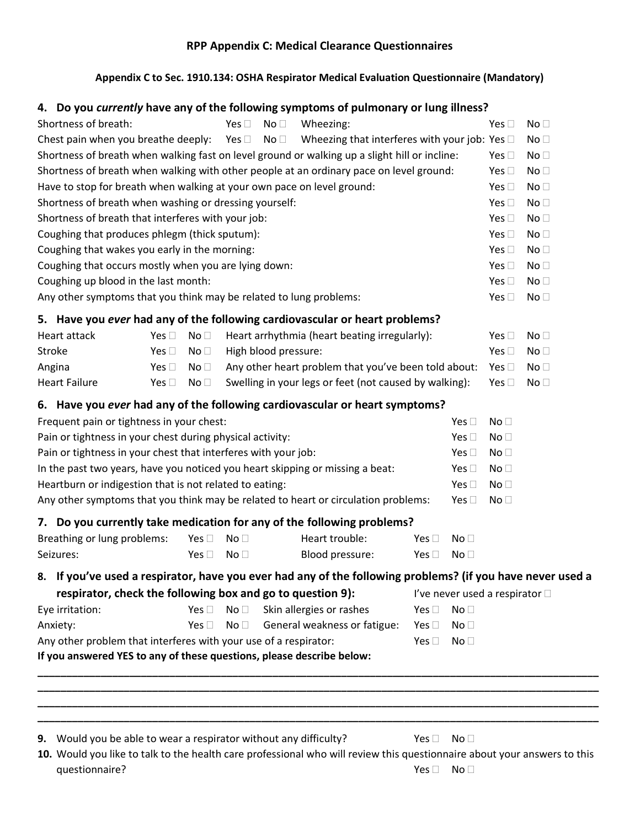# **RPP Appendix C: Medical Clearance Questionnaires**

### **[Appendix C to Sec. 1910.134:](http://www.osha.gov/pls/oshaweb/owadisp.show_document?p_table=STANDARDS&p_id=9783) OSHA Respirator Medical Evaluation Questionnaire (Mandatory)**

# **4. Do you** *currently* **have any of the following symptoms of pulmonary or lung illness?**

| Shortness of breath:                                                                                                             |               |                 | Yes $\square$   | No <sub>1</sub>      | Wheezing:                                              |               |                 | Yes $\square$                  | No <sub>1</sub> |
|----------------------------------------------------------------------------------------------------------------------------------|---------------|-----------------|-----------------|----------------------|--------------------------------------------------------|---------------|-----------------|--------------------------------|-----------------|
| Chest pain when you breathe deeply:<br>Wheezing that interferes with your job: Yes $\square$<br>Yes $\square$<br>No <sub>1</sub> |               |                 |                 |                      |                                                        |               | No <sub>1</sub> |                                |                 |
| Shortness of breath when walking fast on level ground or walking up a slight hill or incline:                                    |               |                 |                 |                      |                                                        |               | Yes $\square$   | No <sub>1</sub>                |                 |
| Shortness of breath when walking with other people at an ordinary pace on level ground:                                          |               |                 |                 |                      |                                                        |               |                 | Yes $\square$                  | No <sub>1</sub> |
| Have to stop for breath when walking at your own pace on level ground:                                                           |               |                 |                 |                      |                                                        |               |                 | Yes $\square$                  | No <sub>1</sub> |
| Shortness of breath when washing or dressing yourself:                                                                           |               |                 |                 |                      |                                                        |               |                 | Yes $\square$                  | No <sub>1</sub> |
| Shortness of breath that interferes with your job:                                                                               |               |                 |                 |                      |                                                        |               |                 | Yes $\square$                  | No <sub>1</sub> |
| Coughing that produces phlegm (thick sputum):                                                                                    |               |                 |                 |                      |                                                        |               |                 | Yes $\square$                  | No <sub>1</sub> |
| Coughing that wakes you early in the morning:                                                                                    |               |                 |                 |                      |                                                        |               | Yes $\square$   | No <sub>1</sub>                |                 |
| Coughing that occurs mostly when you are lying down:                                                                             |               |                 |                 |                      |                                                        |               |                 | Yes $\square$                  | No <sub>1</sub> |
| Coughing up blood in the last month:                                                                                             |               |                 |                 |                      |                                                        |               |                 | Yes $\square$                  | No <sub>1</sub> |
| Any other symptoms that you think may be related to lung problems:                                                               |               |                 |                 |                      |                                                        |               |                 | Yes $\square$                  | No <sub>1</sub> |
| 5. Have you ever had any of the following cardiovascular or heart problems?                                                      |               |                 |                 |                      |                                                        |               |                 |                                |                 |
| Heart attack                                                                                                                     | Yes $\square$ | No <sub>1</sub> |                 |                      | Heart arrhythmia (heart beating irregularly):          |               |                 | Yes $\Box$                     | No <sub>1</sub> |
| Stroke                                                                                                                           | Yes $\square$ | No <sub>1</sub> |                 | High blood pressure: |                                                        |               |                 | Yes $\square$                  | No <sub>1</sub> |
| Angina                                                                                                                           | Yes $\square$ | No <sub>1</sub> |                 |                      | Any other heart problem that you've been told about:   |               |                 | Yes $\square$                  | No <sub>1</sub> |
| <b>Heart Failure</b>                                                                                                             | Yes $\square$ | No <sub>1</sub> |                 |                      | Swelling in your legs or feet (not caused by walking): |               |                 | Yes $\square$                  | No <sub>1</sub> |
| 6. Have you ever had any of the following cardiovascular or heart symptoms?                                                      |               |                 |                 |                      |                                                        |               |                 |                                |                 |
| Frequent pain or tightness in your chest:                                                                                        |               |                 |                 |                      |                                                        |               | Yes $\square$   | No <sub>1</sub>                |                 |
| Pain or tightness in your chest during physical activity:                                                                        |               |                 |                 |                      |                                                        |               | Yes $\square$   | No <sub>1</sub>                |                 |
| Pain or tightness in your chest that interferes with your job:                                                                   |               |                 |                 |                      |                                                        | Yes $\square$ | No <sub>1</sub> |                                |                 |
| In the past two years, have you noticed you heart skipping or missing a beat:                                                    |               |                 |                 |                      |                                                        |               | Yes $\square$   | No <sub>1</sub>                |                 |
| Heartburn or indigestion that is not related to eating:<br>Yes $\square$<br>No <sub>1</sub>                                      |               |                 |                 |                      |                                                        |               |                 |                                |                 |
| Any other symptoms that you think may be related to heart or circulation problems:<br>Yes $\square$                              |               |                 |                 |                      |                                                        |               |                 | No <sub>1</sub>                |                 |
| 7. Do you currently take medication for any of the following problems?                                                           |               |                 |                 |                      |                                                        |               |                 |                                |                 |
| Breathing or lung problems:                                                                                                      |               | Yes $\square$   | No <sub>1</sub> |                      | Heart trouble:                                         | Yes $\square$ | No <sub>1</sub> |                                |                 |
| Seizures:                                                                                                                        |               | Yes $\square$   | No <sub>1</sub> |                      | Blood pressure:                                        | Yes $\Box$    | No <sub>1</sub> |                                |                 |
| 8. If you've used a respirator, have you ever had any of the following problems? (if you have never used a                       |               |                 |                 |                      |                                                        |               |                 |                                |                 |
| respirator, check the following box and go to question 9):                                                                       |               |                 |                 |                      |                                                        |               |                 | l've never used a respirator □ |                 |
| Eye irritation:                                                                                                                  |               | Yes $\square$   | No <sub>1</sub> |                      | Skin allergies or rashes                               | Yes $\square$ | No <sub>1</sub> |                                |                 |
| Anxiety:                                                                                                                         |               | Yes $\square$   | No <sub>1</sub> |                      | General weakness or fatigue:                           | Yes $\square$ | No <sub>1</sub> |                                |                 |
| Any other problem that interferes with your use of a respirator:                                                                 |               |                 |                 |                      |                                                        | Yes $\square$ | No <sub>1</sub> |                                |                 |
| If you answered YES to any of these questions, please describe below:                                                            |               |                 |                 |                      |                                                        |               |                 |                                |                 |
|                                                                                                                                  |               |                 |                 |                      |                                                        |               |                 |                                |                 |
|                                                                                                                                  |               |                 |                 |                      |                                                        |               |                 |                                |                 |
|                                                                                                                                  |               |                 |                 |                      |                                                        |               |                 |                                |                 |
|                                                                                                                                  |               |                 |                 |                      |                                                        |               |                 |                                |                 |
| Would you be able to wear a respirator without any difficulty?<br>9.                                                             |               |                 |                 |                      |                                                        | Yes $\square$ | No <sub>1</sub> |                                |                 |

**10.** Would you like to talk to the health care professional who will review this questionnaire about your answers to this questionnaire? Yes No